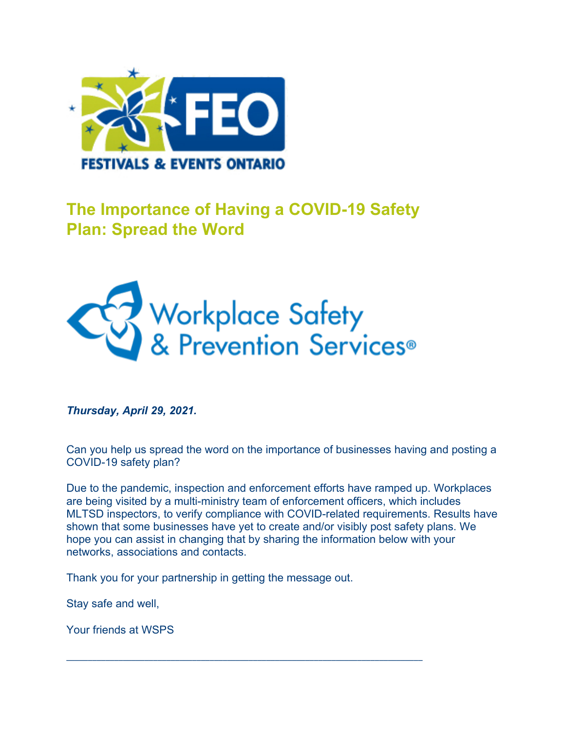

## **The Importance of Having a COVID-19 Safety Plan: Spread the Word**



*Thursday, April 29, 2021.*

Can you help us spread the word on the importance of businesses having and posting a COVID-19 safety plan?

Due to the pandemic, inspection and enforcement efforts have ramped up. Workplaces are being visited by a multi-ministry team of enforcement officers, which includes MLTSD inspectors, to verify compliance with COVID-related requirements. Results have shown that some businesses have yet to create and/or visibly post safety plans. We hope you can assist in changing that by sharing the information below with your networks, associations and contacts.

Thank you for your partnership in getting the message out.

\_\_\_\_\_\_\_\_\_\_\_\_\_\_\_\_\_\_\_\_\_\_\_\_\_\_\_\_\_\_\_\_\_\_\_\_\_\_\_\_\_\_\_\_\_\_\_\_\_\_\_\_\_\_\_\_\_\_\_\_\_\_\_\_\_\_\_\_\_\_\_\_\_\_\_\_\_\_\_\_\_\_

Stay safe and well,

Your friends at WSPS